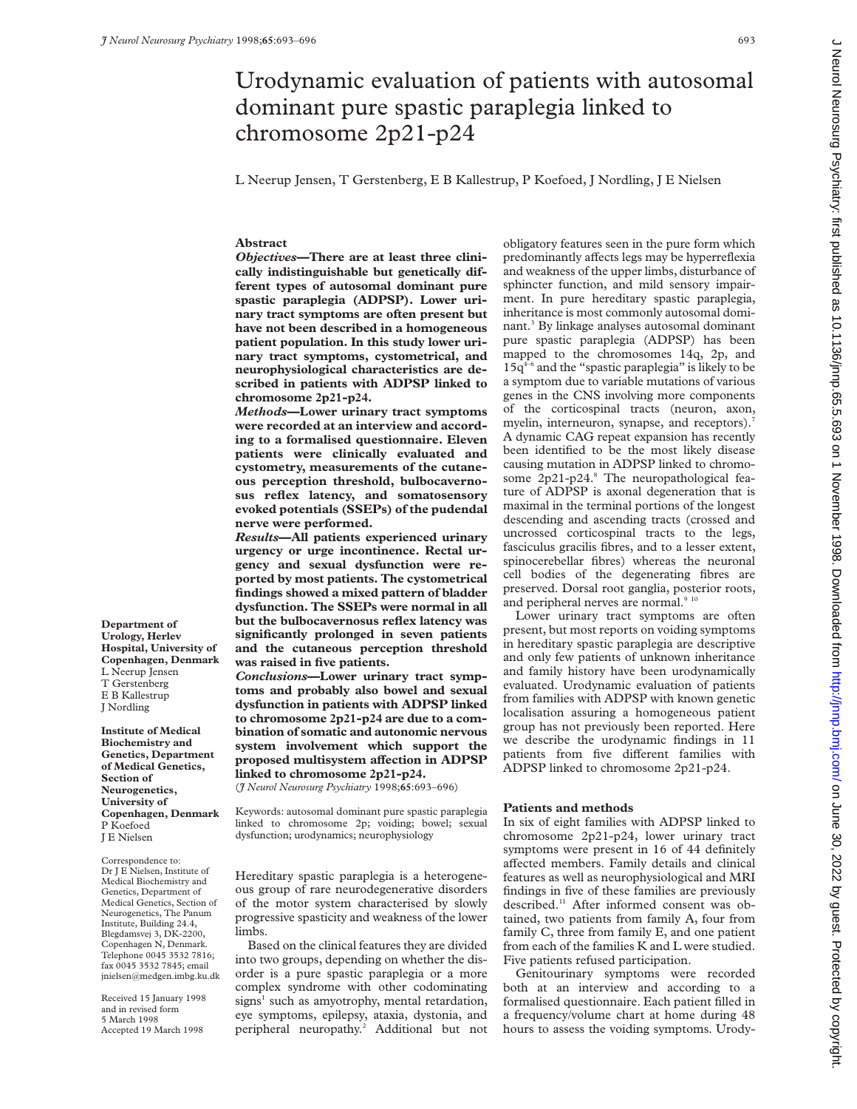# Urodynamic evaluation of patients with autosomal dominant pure spastic paraplegia linked to chromosome 2p21-p24

L Neerup Jensen, T Gerstenberg, E B Kallestrup, P Koefoed, J Nordling, J E Nielsen

## **Abstract**

*Objectives***—There are at least three clinically indistinguishable but genetically different types of autosomal dominant pure spastic paraplegia (ADPSP). Lower urinary tract symptoms are often present but have not been described in a homogeneous patient population. In this study lower urinary tract symptoms, cystometrical, and neurophysiological characteristics are described in patients with ADPSP linked to chromosome 2p21-p24.**

*Methods***—Lower urinary tract symptoms were recorded at an interview and according to a formalised questionnaire. Eleven patients were clinically evaluated and cystometry, measurements of the cutaneous perception threshold, bulbocavernosus reflex latency, and somatosensory evoked potentials (SSEPs) of the pudendal nerve were performed.**

*Results***—All patients experienced urinary urgency or urge incontinence. Rectal urgency and sexual dysfunction were reported by most patients. The cystometrical findings showed a mixed pattern of bladder dysfunction. The SSEPs were normal in all but the bulbocavernosus reflex latency was significantly prolonged in seven patients and the cutaneous perception threshold was raised in five patients.**

*Conclusions***—Lower urinary tract symptoms and probably also bowel and sexual dysfunction in patients with ADPSP linked to chromosome 2p21-p24 are due to a combination of somatic and autonomic nervous system involvement which support the proposed multisystem affection in ADPSP linked to chromosome 2p21-p24.**

(*J Neurol Neurosurg Psychiatry* 1998;**65**:693–696)

Keywords: autosomal dominant pure spastic paraplegia linked to chromosome 2p; voiding; bowel; sexual dysfunction; urodynamics; neurophysiology

Hereditary spastic paraplegia is a heterogeneous group of rare neurodegenerative disorders of the motor system characterised by slowly progressive spasticity and weakness of the lower limbs.

Based on the clinical features they are divided into two groups, depending on whether the disorder is a pure spastic paraplegia or a more complex syndrome with other codominating signs<sup>1</sup> such as amyotrophy, mental retardation, eye symptoms, epilepsy, ataxia, dystonia, and peripheral neuropathy.<sup>2</sup> Additional but not

obligatory features seen in the pure form which predominantly affects legs may be hyperreflexia and weakness of the upper limbs, disturbance of sphincter function, and mild sensory impairment. In pure hereditary spastic paraplegia, inheritance is most commonly autosomal dominant.<sup>3</sup> By linkage analyses autosomal dominant pure spastic paraplegia (ADPSP) has been mapped to the chromosomes 14q, 2p, and  $15q^{4-6}$  and the "spastic paraplegia" is likely to be a symptom due to variable mutations of various genes in the CNS involving more components of the corticospinal tracts (neuron, axon, myelin, interneuron, synapse, and receptors).<sup>7</sup> A dynamic CAG repeat expansion has recently been identified to be the most likely disease causing mutation in ADPSP linked to chromosome 2p21-p24.8 The neuropathological feature of ADPSP is axonal degeneration that is maximal in the terminal portions of the longest descending and ascending tracts (crossed and uncrossed corticospinal tracts to the legs, fasciculus gracilis fibres, and to a lesser extent, spinocerebellar fibres) whereas the neuronal cell bodies of the degenerating fibres are preserved. Dorsal root ganglia, posterior roots, and peripheral nerves are normal.<sup>9 10</sup>

Lower urinary tract symptoms are often present, but most reports on voiding symptoms in hereditary spastic paraplegia are descriptive and only few patients of unknown inheritance and family history have been urodynamically evaluated. Urodynamic evaluation of patients from families with ADPSP with known genetic localisation assuring a homogeneous patient group has not previously been reported. Here we describe the urodynamic findings in 11 patients from five different families with ADPSP linked to chromosome 2p21-p24.

# **Patients and methods**

In six of eight families with ADPSP linked to chromosome 2p21-p24, lower urinary tract symptoms were present in 16 of 44 definitely affected members. Family details and clinical features as well as neurophysiological and MRI findings in five of these families are previously described.<sup>11</sup> After informed consent was obtained, two patients from family A, four from family C, three from family E, and one patient from each of the families K and L were studied. Five patients refused participation.

Genitourinary symptoms were recorded both at an interview and according to a formalised questionnaire. Each patient filled in a frequency/volume chart at home during 48 hours to assess the voiding symptoms. UrodyJ Neurol Neurosurg Psychiatry: first published as 10.11136/jnnp.65.5.693 on 1 November 1998. Downloaded from http://jnnp.bmj.com/ on June 30, 2022 by guest. Protected by copyright Decrifics of the straig protected by copyright. High is 10.1136/jnnp.65.5.693 on 1 November 1998. Downloaded from http://jnnp.bunj.com/ Du Dun 00, 2022 on 10.1136/jnnp.bunj.65.7.693 on 1 November 1998. Downloaded from prim

**Department of Urology, Herlev Hospital, University of Copenhagen, Denmark** L Neerup Jensen T Gerstenberg E B Kallestrup J Nordling

**Institute of Medical Biochemistry and Genetics, Department of Medical Genetics, Section of Neurogenetics, University of Copenhagen, Denmark** P Koefoed J E Nielsen

Correspondence to: Dr J E Nielsen, Institute of Medical Biochemistry and Genetics, Department of Medical Genetics, Section of Neurogenetics, The Panum Institute, Building 24.4, Blegdamsvej 3, DK-2200, Copenhagen N, Denmark. Telephone 0045 3532 7816; fax 0045 3532 7845; email  $\text{inielsen@medgen}$ .imbg.ku.dk

Received 15 January 1998 and in revised form 5 March 1998 Accepted 19 March 1998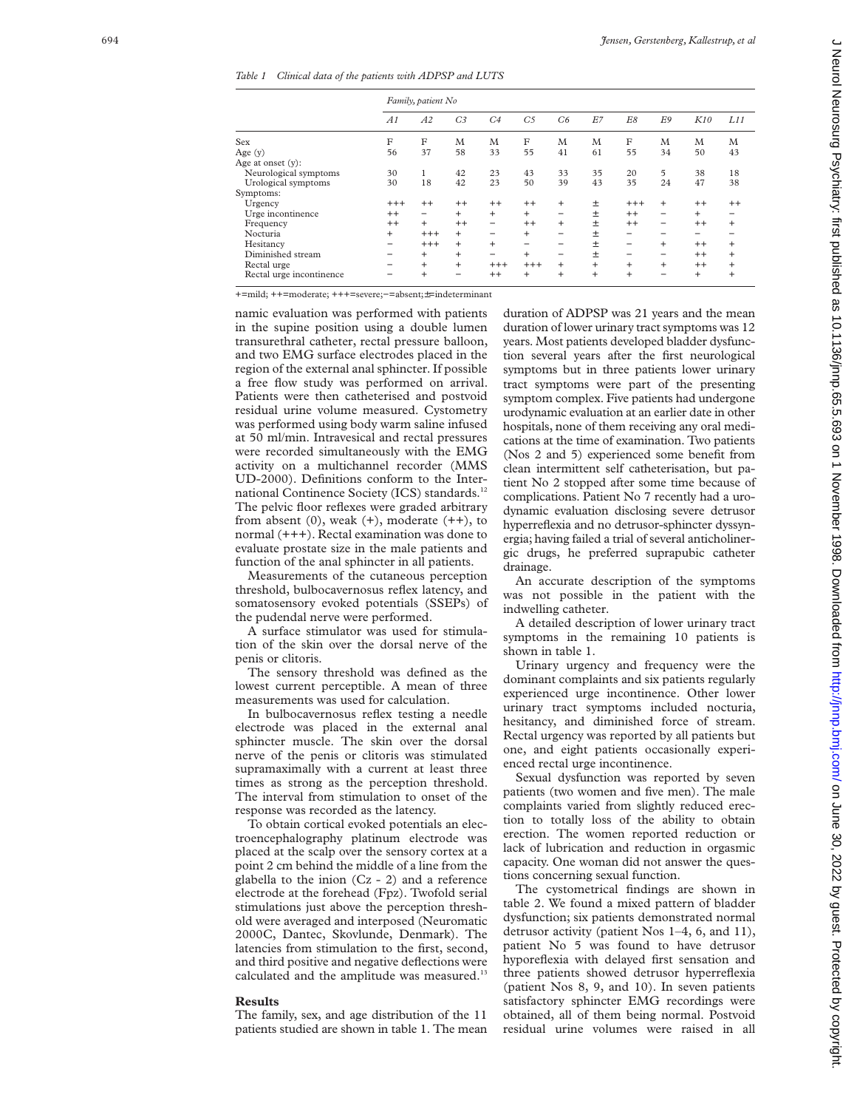*Table 1 Clinical data of the patients with ADPSP and LUTS*

|                          | Family, patient No |           |                |                          |                |           |       |                          |                          |         |      |
|--------------------------|--------------------|-----------|----------------|--------------------------|----------------|-----------|-------|--------------------------|--------------------------|---------|------|
|                          | A1                 | A2        | C <sub>3</sub> | C <sub>4</sub>           | C <sub>5</sub> | C6        | E7    | E8                       | E9                       | K10     | L11  |
| Sex                      | F                  | F         | M              | M                        | F              | M         | M     | F                        | M                        | M       | M    |
| Age $(y)$                | 56                 | 37        | 58             | 33                       | 55             | 41        | 61    | 55                       | 34                       | 50      | 43   |
| Age at onset $(v)$ :     |                    |           |                |                          |                |           |       |                          |                          |         |      |
| Neurological symptoms    | 30                 | 1         | 42             | 23                       | 43             | 33        | 35    | 20                       | 5                        | 38      | 18   |
| Urological symptoms      | 30                 | 18        | 42             | 23                       | 50             | 39        | 43    | 35                       | 24                       | 47      | 38   |
| Symptoms:                |                    |           |                |                          |                |           |       |                          |                          |         |      |
| Urgency                  | $^{+++}$           | $^{++}$   | $^{++}$        | $++$                     | $^{++}$        | $\ddot{}$ | $\pm$ | $^{+++}$                 | $\ddot{}$                | $++$    | $++$ |
| Urge incontinence        | $^{++}$            | -         | $^{+}$         | $^{+}$                   | $+$            | -         | 土     | $^{++}$                  | $\overline{\phantom{0}}$ | $^{+}$  | -    |
| Frequency                | $^{++}$            | $^{+}$    | $++$           | -                        | $^{++}$        | $\ddot{}$ | $\pm$ | $^{++}$                  | -                        | $^{++}$ | $+$  |
| Nocturia                 | $\ddot{}$          | $^{+++}$  | $\ddot{}$      |                          | $+$            | -         | $\pm$ |                          | -                        | -       |      |
| Hesitancy                | -                  | $+++$     | $^{+}$         | $^{+}$                   | -              | -         | $\pm$ | $\overline{\phantom{0}}$ | $\ddot{}$                | $^{++}$ | $+$  |
| Diminished stream        |                    | $\ddot{}$ | $^{+}$         | $\overline{\phantom{0}}$ | $\ddot{}$      | -         | $\pm$ | $\overline{\phantom{0}}$ | -                        | $++$    | $+$  |
| Rectal urge              |                    | $+$       | $+$            | $+++$                    | $^{+++}$       | $\ddot{}$ | $+$   | $\ddot{}$                | $^{+}$                   | $^{++}$ | $+$  |
| Rectal urge incontinence |                    | $+$       | -              | $^{++}$                  | $\ddot{}$      | $\ddot{}$ | $+$   | $+$                      | $\overline{\phantom{0}}$ | $^{+}$  | $+$  |

+=mild; ++=moderate; +++=severe;−=absent; ±=indeterminant

namic evaluation was performed with patients in the supine position using a double lumen transurethral catheter, rectal pressure balloon, and two EMG surface electrodes placed in the region of the external anal sphincter. If possible a free flow study was performed on arrival. Patients were then catheterised and postvoid residual urine volume measured. Cystometry was performed using body warm saline infused at 50 ml/min. Intravesical and rectal pressures were recorded simultaneously with the EMG activity on a multichannel recorder (MMS UD-2000). Definitions conform to the International Continence Society (ICS) standards.<sup>12</sup> The pelvic floor reflexes were graded arbitrary from absent  $(0)$ , weak  $(+)$ , moderate  $(+)$ , to normal (+++). Rectal examination was done to evaluate prostate size in the male patients and function of the anal sphincter in all patients.

Measurements of the cutaneous perception threshold, bulbocavernosus reflex latency, and somatosensory evoked potentials (SSEPs) of the pudendal nerve were performed.

A surface stimulator was used for stimulation of the skin over the dorsal nerve of the penis or clitoris.

The sensory threshold was defined as the lowest current perceptible. A mean of three measurements was used for calculation.

In bulbocavernosus reflex testing a needle electrode was placed in the external anal sphincter muscle. The skin over the dorsal nerve of the penis or clitoris was stimulated supramaximally with a current at least three times as strong as the perception threshold. The interval from stimulation to onset of the response was recorded as the latency.

To obtain cortical evoked potentials an electroencephalography platinum electrode was placed at the scalp over the sensory cortex at a point 2 cm behind the middle of a line from the glabella to the inion (Cz - 2) and a reference electrode at the forehead (Fpz). Twofold serial stimulations just above the perception threshold were averaged and interposed (Neuromatic 2000C, Dantec, Skovlunde, Denmark). The latencies from stimulation to the first, second, and third positive and negative deflections were calculated and the amplitude was measured.<sup>13</sup>

# **Results**

The family, sex, and age distribution of the 11 patients studied are shown in table 1. The mean

duration of ADPSP was 21 years and the mean duration of lower urinary tract symptoms was 12 years. Most patients developed bladder dysfunction several years after the first neurological symptoms but in three patients lower urinary tract symptoms were part of the presenting symptom complex. Five patients had undergone urodynamic evaluation at an earlier date in other hospitals, none of them receiving any oral medications at the time of examination. Two patients (Nos 2 and 5) experienced some benefit from clean intermittent self catheterisation, but patient No 2 stopped after some time because of complications. Patient No 7 recently had a urodynamic evaluation disclosing severe detrusor hyperreflexia and no detrusor-sphincter dyssynergia; having failed a trial of several anticholinergic drugs, he preferred suprapubic catheter drainage.

An accurate description of the symptoms was not possible in the patient with the indwelling catheter.

A detailed description of lower urinary tract symptoms in the remaining 10 patients is shown in table 1.

Urinary urgency and frequency were the dominant complaints and six patients regularly experienced urge incontinence. Other lower urinary tract symptoms included nocturia, hesitancy, and diminished force of stream. Rectal urgency was reported by all patients but one, and eight patients occasionally experienced rectal urge incontinence.

Sexual dysfunction was reported by seven patients (two women and five men). The male complaints varied from slightly reduced erection to totally loss of the ability to obtain erection. The women reported reduction or lack of lubrication and reduction in orgasmic capacity. One woman did not answer the questions concerning sexual function.

The cystometrical findings are shown in table 2. We found a mixed pattern of bladder dysfunction; six patients demonstrated normal detrusor activity (patient Nos 1–4, 6, and 11), patient No 5 was found to have detrusor hyporeflexia with delayed first sensation and three patients showed detrusor hyperreflexia (patient Nos 8, 9, and 10). In seven patients satisfactory sphincter EMG recordings were obtained, all of them being normal. Postvoid residual urine volumes were raised in all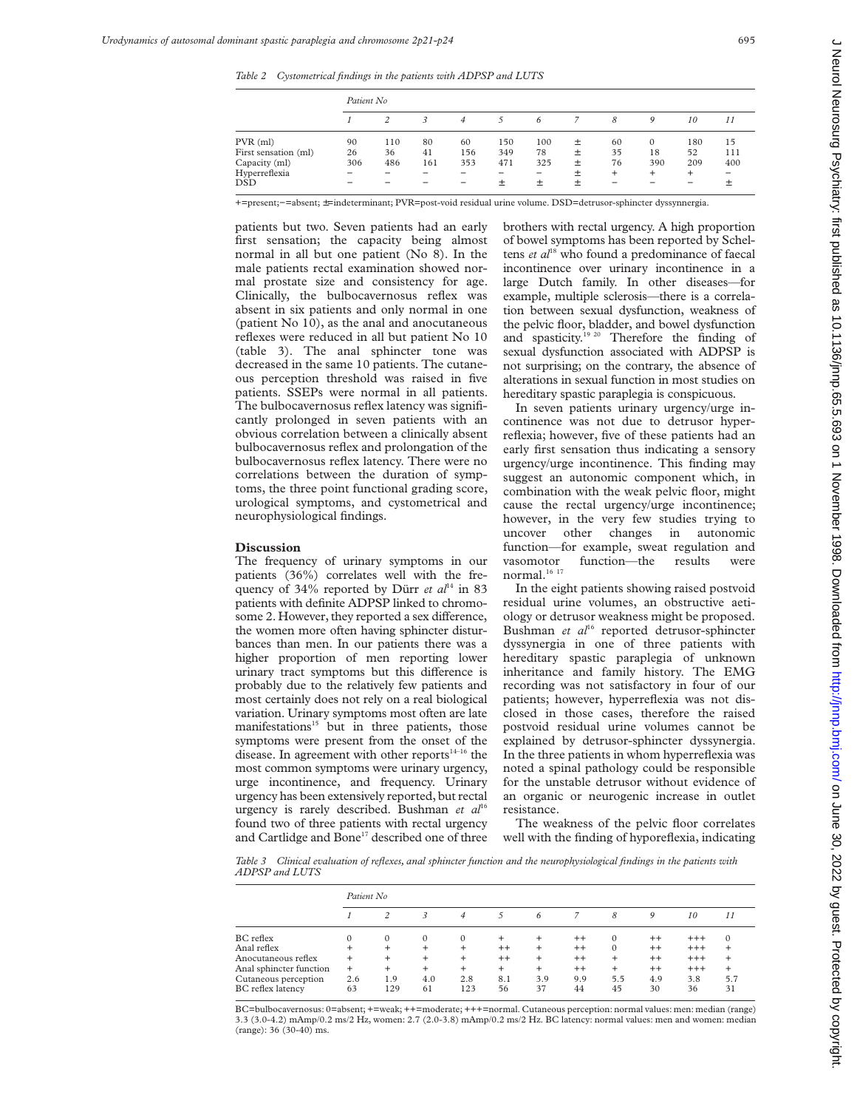*Table 2 Cystometrical findings in the patients with ADPSP and LUTS*

|                      | Patient No               |     |     |     |     |     |        |        |          |     |     |
|----------------------|--------------------------|-----|-----|-----|-----|-----|--------|--------|----------|-----|-----|
|                      |                          |     |     | 4   |     | 6   |        | 8      | 9        | 10  | 11  |
| $PVR$ (ml)           | 90                       | 110 | 80  | 60  | 150 | 100 | $^{+}$ | 60     | $\Omega$ | 180 | 15  |
| First sensation (ml) | 26                       | 36  | 41  | 156 | 349 | 78  | 土      | 35     | 18       | 52  | 111 |
| Capacity (ml)        | 306                      | 486 | 161 | 353 | 471 | 325 | 土      | 76     | 390      | 209 | 400 |
| Hyperreflexia        | $\overline{\phantom{a}}$ |     |     |     | -   | -   | 土      | $^{+}$ | $\pm$    | $+$ | -   |
| DSD                  |                          |     |     |     | 土   | 土   | 土      |        |          |     |     |

+=present;−=absent; ±=indeterminant; PVR=post-void residual urine volume. DSD=detrusor-sphincter dyssynnergia.

patients but two. Seven patients had an early first sensation; the capacity being almost normal in all but one patient (No 8). In the male patients rectal examination showed normal prostate size and consistency for age. Clinically, the bulbocavernosus reflex was absent in six patients and only normal in one (patient No 10), as the anal and anocutaneous reflexes were reduced in all but patient No 10 (table 3). The anal sphincter tone was decreased in the same 10 patients. The cutaneous perception threshold was raised in five patients. SSEPs were normal in all patients. The bulbocavernosus reflex latency was significantly prolonged in seven patients with an obvious correlation between a clinically absent bulbocavernosus reflex and prolongation of the bulbocavernosus reflex latency. There were no correlations between the duration of symptoms, the three point functional grading score, urological symptoms, and cystometrical and neurophysiological findings.

## **Discussion**

The frequency of urinary symptoms in our patients (36%) correlates well with the frequency of  $34\%$  reported by Dürr *et al*<sup>14</sup> in 83 patients with definite ADPSP linked to chromosome 2. However, they reported a sex difference, the women more often having sphincter disturbances than men. In our patients there was a higher proportion of men reporting lower urinary tract symptoms but this difference is probably due to the relatively few patients and most certainly does not rely on a real biological variation. Urinary symptoms most often are late manifestations<sup>15</sup> but in three patients, those symptoms were present from the onset of the disease. In agreement with other reports $14-16$  the most common symptoms were urinary urgency, urge incontinence, and frequency. Urinary urgency has been extensively reported, but rectal urgency is rarely described. Bushman *et al*<sup>16</sup> found two of three patients with rectal urgency and Cartlidge and Bone<sup>17</sup> described one of three brothers with rectal urgency. A high proportion of bowel symptoms has been reported by Scheltens *et al*<sup>18</sup> who found a predominance of faecal incontinence over urinary incontinence in a large Dutch family. In other diseases—for example, multiple sclerosis—there is a correlation between sexual dysfunction, weakness of the pelvic floor, bladder, and bowel dysfunction and spasticity.<sup>19 20</sup> Therefore the finding of sexual dysfunction associated with ADPSP is not surprising; on the contrary, the absence of alterations in sexual function in most studies on hereditary spastic paraplegia is conspicuous.

In seven patients urinary urgency/urge incontinence was not due to detrusor hyperreflexia; however, five of these patients had an early first sensation thus indicating a sensory urgency/urge incontinence. This finding may suggest an autonomic component which, in combination with the weak pelvic floor, might cause the rectal urgency/urge incontinence; however, in the very few studies trying to uncover other changes in autonomic function—for example, sweat regulation and vasomotor function—the results were normal. $^{16}$   $^{17}$ 

In the eight patients showing raised postvoid residual urine volumes, an obstructive aetiology or detrusor weakness might be proposed. Bushman et al<sup>16</sup> reported detrusor-sphincter dyssynergia in one of three patients with hereditary spastic paraplegia of unknown inheritance and family history. The EMG recording was not satisfactory in four of our patients; however, hyperreflexia was not disclosed in those cases, therefore the raised postvoid residual urine volumes cannot be explained by detrusor-sphincter dyssynergia. In the three patients in whom hyperreflexia was noted a spinal pathology could be responsible for the unstable detrusor without evidence of an organic or neurogenic increase in outlet resistance.

The weakness of the pelvic floor correlates well with the finding of hyporeflexia, indicating

*Table 3 Clinical evaluation of reflexes, anal sphincter function and the neurophysiological findings in the patients with ADPSP and LUTS*

|                          | Patient No |          |          |          |         |        |         |          |         |          |           |
|--------------------------|------------|----------|----------|----------|---------|--------|---------|----------|---------|----------|-----------|
|                          |            |          |          | 4        |         | 6      |         | 8        | 9       | 10       | 11        |
| BC reflex                | $\Omega$   | $\Omega$ | $\Omega$ | $\Omega$ | $\pm$   | +      | $^{++}$ | $\Omega$ | $^{++}$ | $^{+++}$ | $\Omega$  |
| Anal reflex              | $\pm$      | $\pm$    | $\pm$    |          | $^{++}$ | $\pm$  | $^{++}$ | $\Omega$ | $^{++}$ | $+++$    |           |
| Anocutaneous reflex      | $\ddot{}$  | +        | $\pm$    |          | $^{++}$ | $^+$   | $^{++}$ |          | $^{++}$ | $+++$    |           |
| Anal sphincter function  | $\ddot{}$  | $^{+}$   | $\pm$    |          | $\pm$   | $^{+}$ | $^{++}$ | $^+$     | $^{++}$ | $+++$    | $\ddot{}$ |
| Cutaneous perception     | 2.6        | 1.9      | 4.0      | 2.8      | 8.1     | 3.9    | 9.9     | 5.5      | 4.9     | 3.8      | 5.7       |
| <b>BC</b> reflex latency | 63         | 129      | 61       | 123      | 56      | 37     | 44      | 45       | 30      | 36       | 31        |

BC=bulbocavernosus: 0=absent; +=weak; ++=moderate; +++=normal. Cutaneous perception: normal values: men: median (range) 3.3 (3.0-4.2) mAmp/0.2 ms/2 Hz, women: 2.7 (2.0-3.8) mAmp/0.2 ms/2 Hz. BC latency: normal values: men and women: median (range): 36 (30-40) ms.